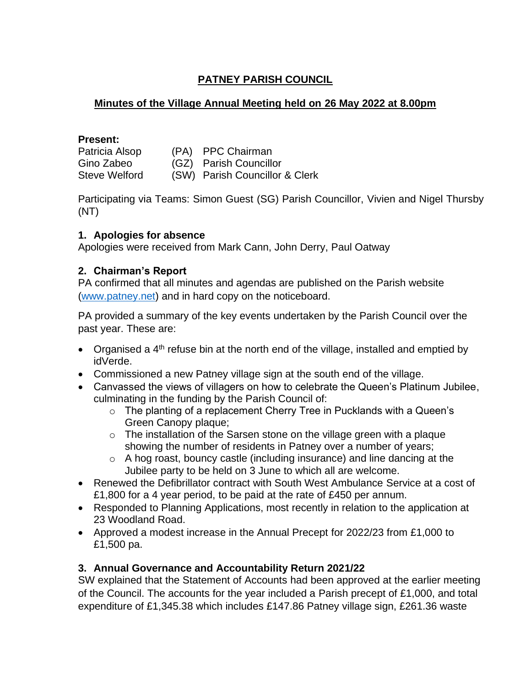# **PATNEY PARISH COUNCIL**

### **Minutes of the Village Annual Meeting held on 26 May 2022 at 8.00pm**

#### **Present:**

| Patricia Alsop       | (PA) PPC Chairman              |
|----------------------|--------------------------------|
| Gino Zabeo           | (GZ) Parish Councillor         |
| <b>Steve Welford</b> | (SW) Parish Councillor & Clerk |

Participating via Teams: Simon Guest (SG) Parish Councillor, Vivien and Nigel Thursby (NT)

### **1. Apologies for absence**

Apologies were received from Mark Cann, John Derry, Paul Oatway

### **2. Chairman's Report**

PA confirmed that all minutes and agendas are published on the Parish website [\(www.patney.net\)](http://www.patney.net/) and in hard copy on the noticeboard.

PA provided a summary of the key events undertaken by the Parish Council over the past year. These are:

- Organised a  $4<sup>th</sup>$  refuse bin at the north end of the village, installed and emptied by idVerde.
- Commissioned a new Patney village sign at the south end of the village.
- Canvassed the views of villagers on how to celebrate the Queen's Platinum Jubilee, culminating in the funding by the Parish Council of:
	- o The planting of a replacement Cherry Tree in Pucklands with a Queen's Green Canopy plaque;
	- $\circ$  The installation of the Sarsen stone on the village green with a plaque showing the number of residents in Patney over a number of years;
	- o A hog roast, bouncy castle (including insurance) and line dancing at the Jubilee party to be held on 3 June to which all are welcome.
- Renewed the Defibrillator contract with South West Ambulance Service at a cost of £1,800 for a 4 year period, to be paid at the rate of £450 per annum.
- Responded to Planning Applications, most recently in relation to the application at 23 Woodland Road.
- Approved a modest increase in the Annual Precept for 2022/23 from £1,000 to £1,500 pa.

## **3. Annual Governance and Accountability Return 2021/22**

SW explained that the Statement of Accounts had been approved at the earlier meeting of the Council. The accounts for the year included a Parish precept of £1,000, and total expenditure of £1,345.38 which includes £147.86 Patney village sign, £261.36 waste